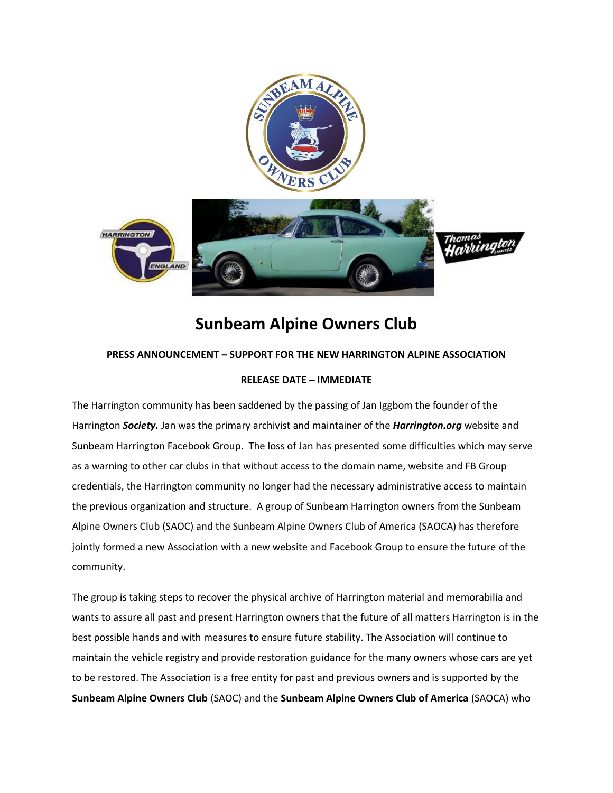

## **Sunbeam Alpine Owners Club**

## **PRESS ANNOUNCEMENT – SUPPORT FOR THE NEW HARRINGTON ALPINE ASSOCIATION**

## **RELEASE DATE – IMMEDIATE**

The Harrington community has been saddened by the passing of Jan Iggbom the founder of the Harrington *Society.* Jan was the primary archivist and maintainer of the *Harrington.org* website and Sunbeam Harrington Facebook Group. The loss of Jan has presented some difficulties which may serve as a warning to other car clubs in that without access to the domain name, website and FB Group credentials, the Harrington community no longer had the necessary administrative access to maintain the previous organization and structure. A group of Sunbeam Harrington owners from the Sunbeam Alpine Owners Club (SAOC) and the Sunbeam Alpine Owners Club of America (SAOCA) has therefore jointly formed a new Association with a new website and Facebook Group to ensure the future of the community.

The group is taking steps to recover the physical archive of Harrington material and memorabilia and wants to assure all past and present Harrington owners that the future of all matters Harrington is in the best possible hands and with measures to ensure future stability. The Association will continue to maintain the vehicle registry and provide restoration guidance for the many owners whose cars are yet to be restored. The Association is a free entity for past and previous owners and is supported by the **Sunbeam Alpine Owners Club** (SAOC) and the **Sunbeam Alpine Owners Club of America** (SAOCA) who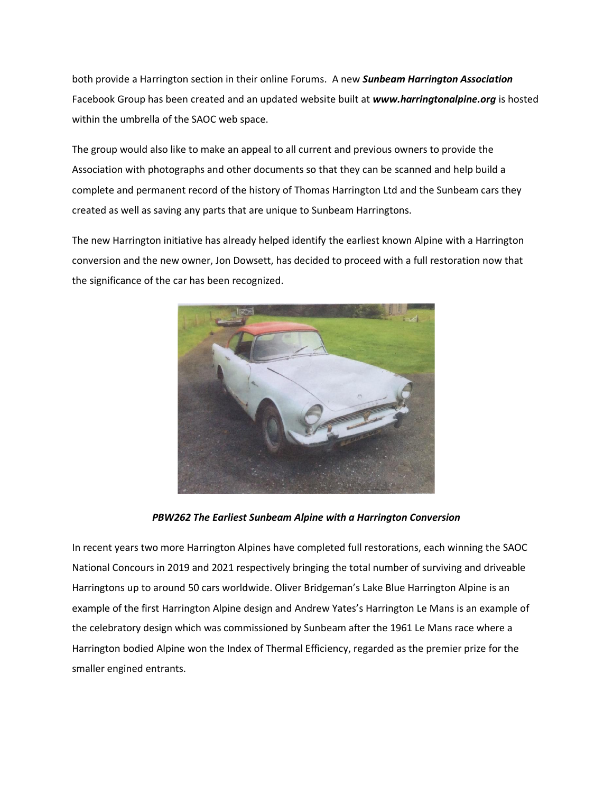both provide a Harrington section in their online Forums. A new *Sunbeam Harrington Association* Facebook Group has been created and an updated website built at *www.harringtonalpine.org* is hosted within the umbrella of the SAOC web space.

The group would also like to make an appeal to all current and previous owners to provide the Association with photographs and other documents so that they can be scanned and help build a complete and permanent record of the history of Thomas Harrington Ltd and the Sunbeam cars they created as well as saving any parts that are unique to Sunbeam Harringtons.

The new Harrington initiative has already helped identify the earliest known Alpine with a Harrington conversion and the new owner, Jon Dowsett, has decided to proceed with a full restoration now that the significance of the car has been recognized.



*PBW262 The Earliest Sunbeam Alpine with a Harrington Conversion*

In recent years two more Harrington Alpines have completed full restorations, each winning the SAOC National Concours in 2019 and 2021 respectively bringing the total number of surviving and driveable Harringtons up to around 50 cars worldwide. Oliver Bridgeman's Lake Blue Harrington Alpine is an example of the first Harrington Alpine design and Andrew Yates's Harrington Le Mans is an example of the celebratory design which was commissioned by Sunbeam after the 1961 Le Mans race where a Harrington bodied Alpine won the Index of Thermal Efficiency, regarded as the premier prize for the smaller engined entrants.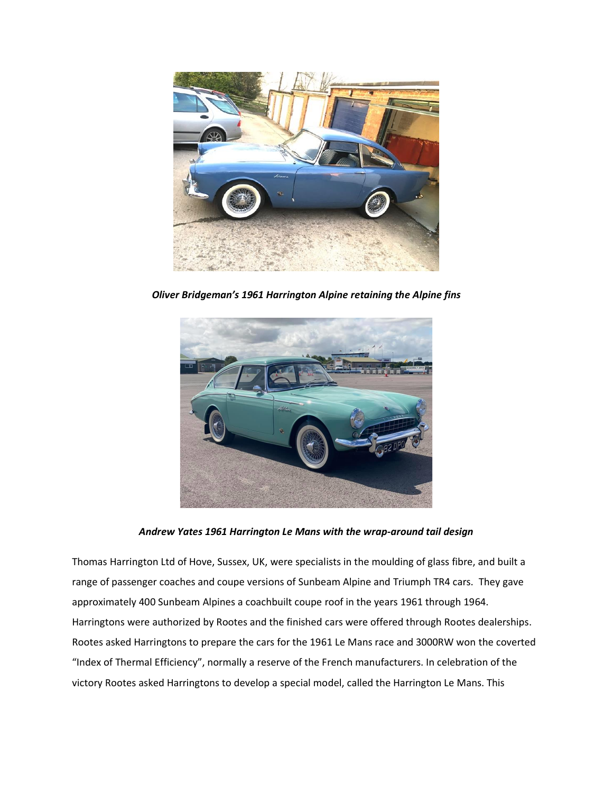

*Oliver Bridgeman's 1961 Harrington Alpine retaining the Alpine fins*



*Andrew Yates 1961 Harrington Le Mans with the wrap-around tail design*

Thomas Harrington Ltd of Hove, Sussex, UK, were specialists in the moulding of glass fibre, and built a range of passenger coaches and coupe versions of Sunbeam Alpine and Triumph TR4 cars. They gave approximately 400 Sunbeam Alpines a coachbuilt coupe roof in the years 1961 through 1964. Harringtons were authorized by Rootes and the finished cars were offered through Rootes dealerships. Rootes asked Harringtons to prepare the cars for the 1961 Le Mans race and 3000RW won the coverted "Index of Thermal Efficiency", normally a reserve of the French manufacturers. In celebration of the victory Rootes asked Harringtons to develop a special model, called the Harrington Le Mans. This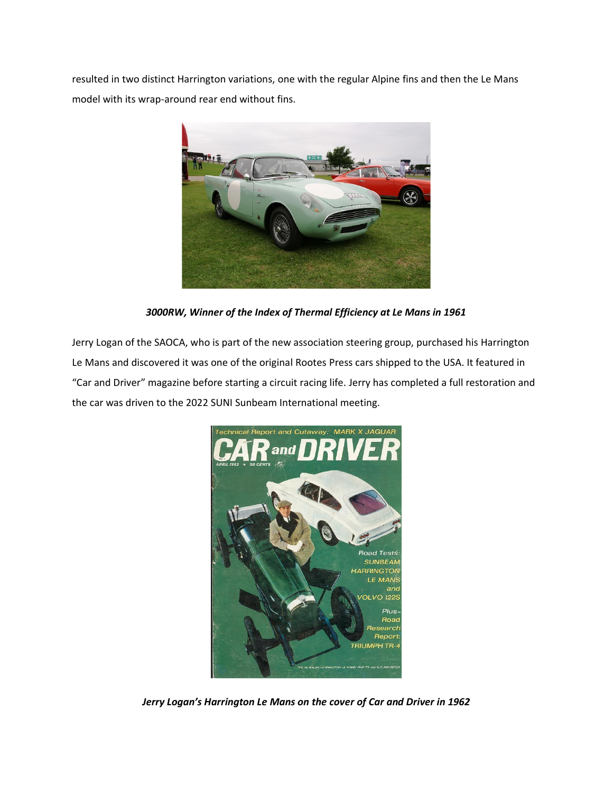resulted in two distinct Harrington variations, one with the regular Alpine fins and then the Le Mans model with its wrap-around rear end without fins.



*3000RW, Winner of the Index of Thermal Efficiency at Le Mans in 1961*

Jerry Logan of the SAOCA, who is part of the new association steering group, purchased his Harrington Le Mans and discovered it was one of the original Rootes Press cars shipped to the USA. It featured in "Car and Driver" magazine before starting a circuit racing life. Jerry has completed a full restoration and the car was driven to the 2022 SUNI Sunbeam International meeting.



*Jerry Logan's Harrington Le Mans on the cover of Car and Driver in 1962*